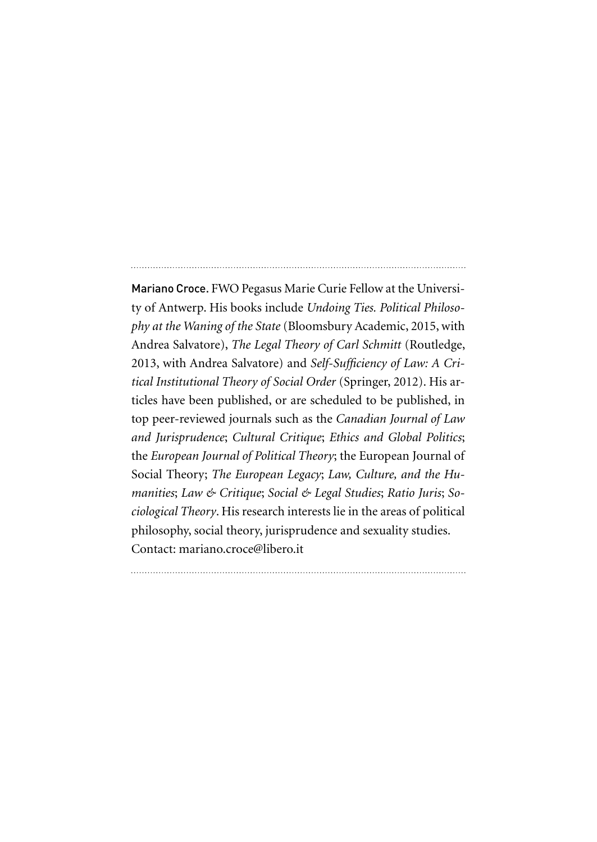Mariano Croce. FWO Pegasus Marie Curie Fellow at the University of Antwerp. His books include *Undoing Ties. Political Philosophy at the Waning of the State* (Bloomsbury Academic, 2015, with Andrea Salvatore), *The Legal Theory of Carl Schmitt* (Routledge, 2013, with Andrea Salvatore) and *Self-Sufficiency of Law: A Critical Institutional Theory of Social Order* (Springer, 2012). His articles have been published, or are scheduled to be published, in top peer-reviewed journals such as the *Canadian Journal of Law and Jurisprudence*; *Cultural Critique*; *Ethics and Global Politics*; the *European Journal of Political Theory*; the European Journal of Social Theory; *The European Legacy*; *Law, Culture, and the Humanities*; *Law & Critique*; *Social & Legal Studies*; *Ratio Juris*; *Sociological Theory*. His research interests lie in the areas of political philosophy, social theory, jurisprudence and sexuality studies. Contact: mariano.croce@libero.it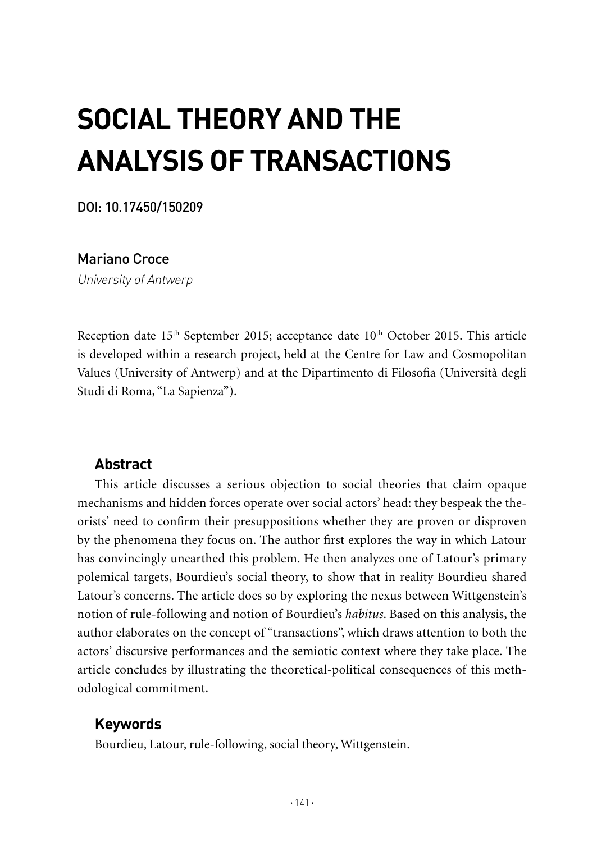# **Social theory and THE analysis of transactions**

DOI: 10.17450/150209

Mariano Croce

University of Antwerp

Reception date  $15<sup>th</sup>$  September 2015; acceptance date  $10<sup>th</sup>$  October 2015. This article is developed within a research project, held at the Centre for Law and Cosmopolitan Values (University of Antwerp) and at the Dipartimento di Filosofia (Università degli Studi di Roma, "La Sapienza").

## **Abstract**

This article discusses a serious objection to social theories that claim opaque mechanisms and hidden forces operate over social actors' head: they bespeak the theorists' need to confirm their presuppositions whether they are proven or disproven by the phenomena they focus on. The author first explores the way in which Latour has convincingly unearthed this problem. He then analyzes one of Latour's primary polemical targets, Bourdieu's social theory, to show that in reality Bourdieu shared Latour's concerns. The article does so by exploring the nexus between Wittgenstein's notion of rule-following and notion of Bourdieu's *habitus*. Based on this analysis, the author elaborates on the concept of "transactions", which draws attention to both the actors' discursive performances and the semiotic context where they take place. The article concludes by illustrating the theoretical-political consequences of this methodological commitment.

## **Keywords**

Bourdieu, Latour, rule-following, social theory, Wittgenstein.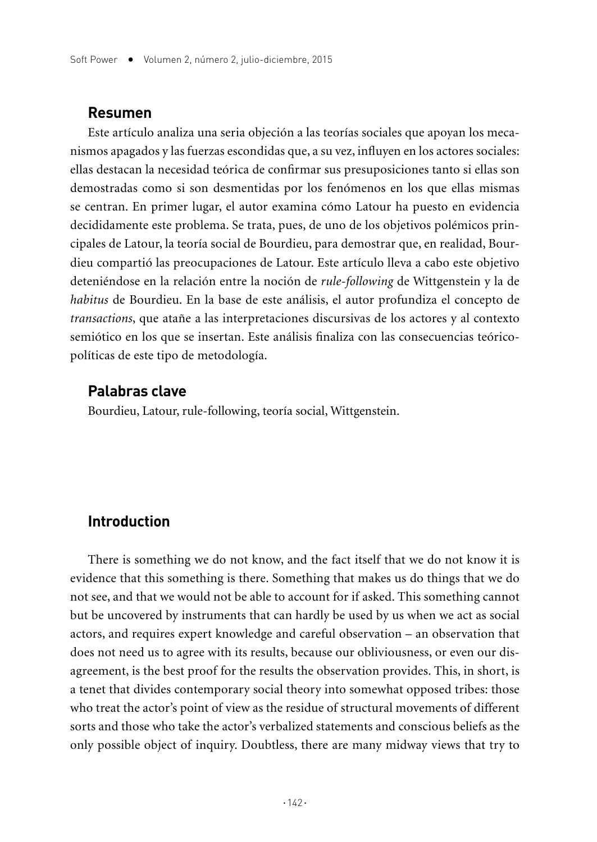#### **Resumen**

Este artículo analiza una seria objeción a las teorías sociales que apoyan los mecanismos apagados y las fuerzas escondidas que, a su vez, influyen en los actores sociales: ellas destacan la necesidad teórica de confirmar sus presuposiciones tanto si ellas son demostradas como si son desmentidas por los fenómenos en los que ellas mismas se centran. En primer lugar, el autor examina cómo Latour ha puesto en evidencia decididamente este problema. Se trata, pues, de uno de los objetivos polémicos principales de Latour, la teoría social de Bourdieu, para demostrar que, en realidad, Bourdieu compartió las preocupaciones de Latour. Este artículo lleva a cabo este objetivo deteniéndose en la relación entre la noción de *rule-following* de Wittgenstein y la de *habitus* de Bourdieu. En la base de este análisis, el autor profundiza el concepto de *transactions*, que atañe a las interpretaciones discursivas de los actores y al contexto semiótico en los que se insertan. Este análisis finaliza con las consecuencias teóricopolíticas de este tipo de metodología.

#### **Palabras clave**

Bourdieu, Latour, rule-following, teoría social, Wittgenstein.

## **Introduction**

There is something we do not know, and the fact itself that we do not know it is evidence that this something is there. Something that makes us do things that we do not see, and that we would not be able to account for if asked. This something cannot but be uncovered by instruments that can hardly be used by us when we act as social actors, and requires expert knowledge and careful observation – an observation that does not need us to agree with its results, because our obliviousness, or even our disagreement, is the best proof for the results the observation provides. This, in short, is a tenet that divides contemporary social theory into somewhat opposed tribes: those who treat the actor's point of view as the residue of structural movements of different sorts and those who take the actor's verbalized statements and conscious beliefs as the only possible object of inquiry. Doubtless, there are many midway views that try to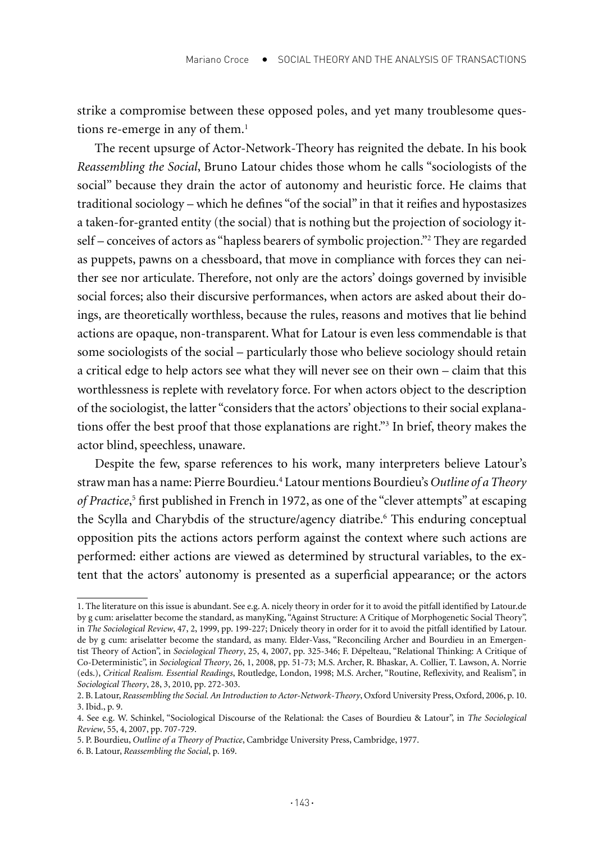strike a compromise between these opposed poles, and yet many troublesome questions re-emerge in any of them.<sup>1</sup>

The recent upsurge of Actor-Network-Theory has reignited the debate. In his book *Reassembling the Social*, Bruno Latour chides those whom he calls "sociologists of the social" because they drain the actor of autonomy and heuristic force. He claims that traditional sociology – which he defines "of the social" in that it reifies and hypostasizes a taken-for-granted entity (the social) that is nothing but the projection of sociology itself – conceives of actors as "hapless bearers of symbolic projection."2 They are regarded as puppets, pawns on a chessboard, that move in compliance with forces they can neither see nor articulate. Therefore, not only are the actors' doings governed by invisible social forces; also their discursive performances, when actors are asked about their doings, are theoretically worthless, because the rules, reasons and motives that lie behind actions are opaque, non-transparent. What for Latour is even less commendable is that some sociologists of the social – particularly those who believe sociology should retain a critical edge to help actors see what they will never see on their own – claim that this worthlessness is replete with revelatory force. For when actors object to the description of the sociologist, the latter "considers that the actors' objections to their social explanations offer the best proof that those explanations are right."3 In brief, theory makes the actor blind, speechless, unaware.

Despite the few, sparse references to his work, many interpreters believe Latour's straw man has a name: Pierre Bourdieu.4 Latour mentions Bourdieu's *Outline of a Theory*  of Practice,<sup>5</sup> first published in French in 1972, as one of the "clever attempts" at escaping the Scylla and Charybdis of the structure/agency diatribe.<sup>6</sup> This enduring conceptual opposition pits the actions actors perform against the context where such actions are performed: either actions are viewed as determined by structural variables, to the extent that the actors' autonomy is presented as a superficial appearance; or the actors

<sup>1.</sup> The literature on this issue is abundant. See e.g. A. nicely theory in order for it to avoid the pitfall identified by Latour.de by g cum: ariselatter become the standard, as manyKing, "Against Structure: A Critique of Morphogenetic Social Theory", in *The Sociological Review*, 47, 2, 1999, pp. 199-227; Dnicely theory in order for it to avoid the pitfall identified by Latour. de by g cum: ariselatter become the standard, as many. Elder-Vass, "Reconciling Archer and Bourdieu in an Emergentist Theory of Action", in *Sociological Theory*, 25, 4, 2007, pp. 325-346; F. Dépelteau, "Relational Thinking: A Critique of Co-Deterministic", in *Sociological Theory*, 26, 1, 2008, pp. 51-73; M.S. Archer, R. Bhaskar, A. Collier, T. Lawson, A. Norrie (eds.), *Critical Realism. Essential Readings*, Routledge, London, 1998; M.S. Archer, "Routine, Reflexivity, and Realism", in *Sociological Theory*, 28, 3, 2010, pp. 272-303.

<sup>2.</sup> B. Latour, *Reassembling the Social. An Introduction to Actor-Network-Theory*, Oxford University Press, Oxford, 2006, p. 10. 3. Ibid., p. 9.

<sup>4.</sup> See e.g. W. Schinkel, "Sociological Discourse of the Relational: the Cases of Bourdieu & Latour", in *The Sociological Review*, 55, 4, 2007, pp. 707-729.

<sup>5.</sup> P. Bourdieu, *Outline of a Theory of Practice*, Cambridge University Press, Cambridge, 1977.

<sup>6.</sup> B. Latour, *Reassembling the Social*, p. 169.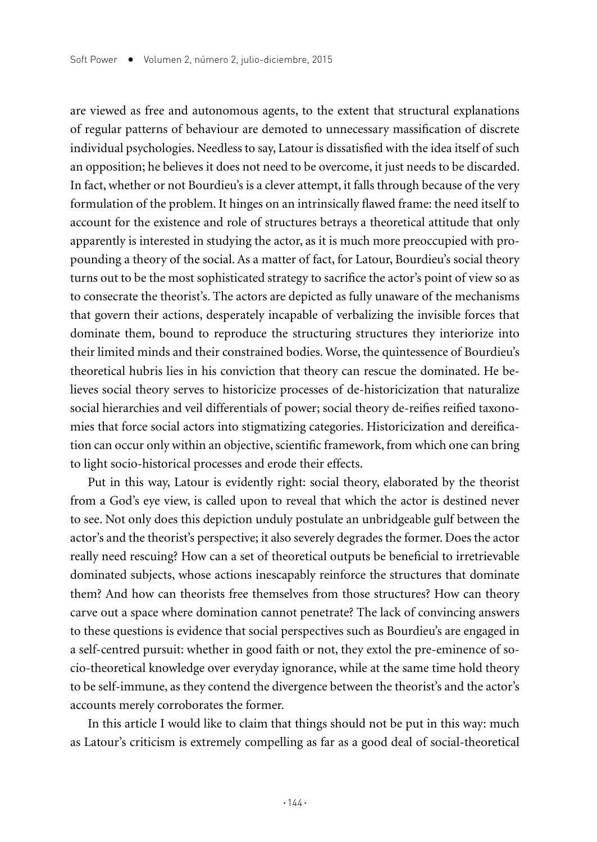are viewed as free and autonomous agents, to the extent that structural explanations of regular patterns of behaviour are demoted to unnecessary massification of discrete individual psychologies. Needless to say, Latour is dissatisfied with the idea itself of such an opposition; he believes it does not need to be overcome, it just needs to be discarded. In fact, whether or not Bourdieu's is a clever attempt, it falls through because of the very formulation of the problem. It hinges on an intrinsically flawed frame: the need itself to account for the existence and role of structures betrays a theoretical attitude that only apparently is interested in studying the actor, as it is much more preoccupied with propounding a theory of the social. As a matter of fact, for Latour, Bourdieu's social theory turns out to be the most sophisticated strategy to sacrifice the actor's point of view so as to consecrate the theorist's. The actors are depicted as fully unaware of the mechanisms that govern their actions, desperately incapable of verbalizing the invisible forces that dominate them, bound to reproduce the structuring structures they interiorize into their limited minds and their constrained bodies. Worse, the quintessence of Bourdieu's theoretical hubris lies in his conviction that theory can rescue the dominated. He believes social theory serves to historicize processes of de-historicization that naturalize social hierarchies and veil differentials of power; social theory de-reifies reified taxonomies that force social actors into stigmatizing categories. Historicization and dereification can occur only within an objective, scientific framework, from which one can bring to light socio-historical processes and erode their effects.

Put in this way, Latour is evidently right: social theory, elaborated by the theorist from a God's eye view, is called upon to reveal that which the actor is destined never to see. Not only does this depiction unduly postulate an unbridgeable gulf between the actor's and the theorist's perspective; it also severely degrades the former. Does the actor really need rescuing? How can a set of theoretical outputs be beneficial to irretrievable dominated subjects, whose actions inescapably reinforce the structures that dominate them? And how can theorists free themselves from those structures? How can theory carve out a space where domination cannot penetrate? The lack of convincing answers to these questions is evidence that social perspectives such as Bourdieu's are engaged in a self-centred pursuit: whether in good faith or not, they extol the pre-eminence of socio-theoretical knowledge over everyday ignorance, while at the same time hold theory to be self-immune, as they contend the divergence between the theorist's and the actor's accounts merely corroborates the former.

In this article I would like to claim that things should not be put in this way: much as Latour's criticism is extremely compelling as far as a good deal of social-theoretical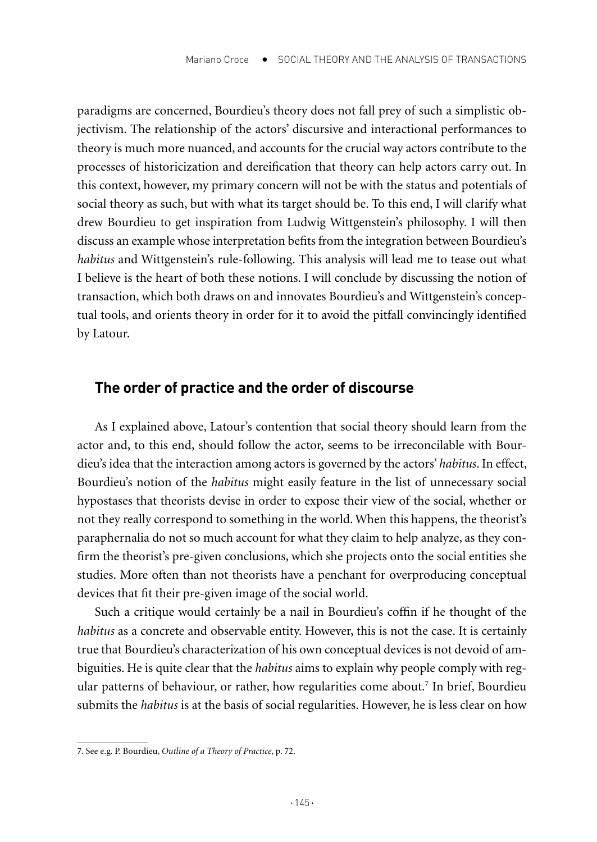paradigms are concerned, Bourdieu's theory does not fall prey of such a simplistic objectivism. The relationship of the actors' discursive and interactional performances to theory is much more nuanced, and accounts for the crucial way actors contribute to the processes of historicization and dereification that theory can help actors carry out. In this context, however, my primary concern will not be with the status and potentials of social theory as such, but with what its target should be. To this end, I will clarify what drew Bourdieu to get inspiration from Ludwig Wittgenstein's philosophy. I will then discuss an example whose interpretation befits from the integration between Bourdieu's *habitus* and Wittgenstein's rule-following. This analysis will lead me to tease out what I believe is the heart of both these notions. I will conclude by discussing the notion of transaction, which both draws on and innovates Bourdieu's and Wittgenstein's conceptual tools, and orients theory in order for it to avoid the pitfall convincingly identified by Latour.

## **The order of practice and the order of discourse**

As I explained above, Latour's contention that social theory should learn from the actor and, to this end, should follow the actor, seems to be irreconcilable with Bourdieu's idea that the interaction among actors is governed by the actors' *habitus*. In effect, Bourdieu's notion of the *habitus* might easily feature in the list of unnecessary social hypostases that theorists devise in order to expose their view of the social, whether or not they really correspond to something in the world. When this happens, the theorist's paraphernalia do not so much account for what they claim to help analyze, as they confirm the theorist's pre-given conclusions, which she projects onto the social entities she studies. More often than not theorists have a penchant for overproducing conceptual devices that fit their pre-given image of the social world.

Such a critique would certainly be a nail in Bourdieu's coffin if he thought of the *habitus* as a concrete and observable entity. However, this is not the case. It is certainly true that Bourdieu's characterization of his own conceptual devices is not devoid of ambiguities. He is quite clear that the *habitus* aims to explain why people comply with regular patterns of behaviour, or rather, how regularities come about.7 In brief, Bourdieu submits the *habitus* is at the basis of social regularities. However, he is less clear on how

<sup>7.</sup> See e.g. P. Bourdieu, *Outline of a Theory of Practice*, p. 72.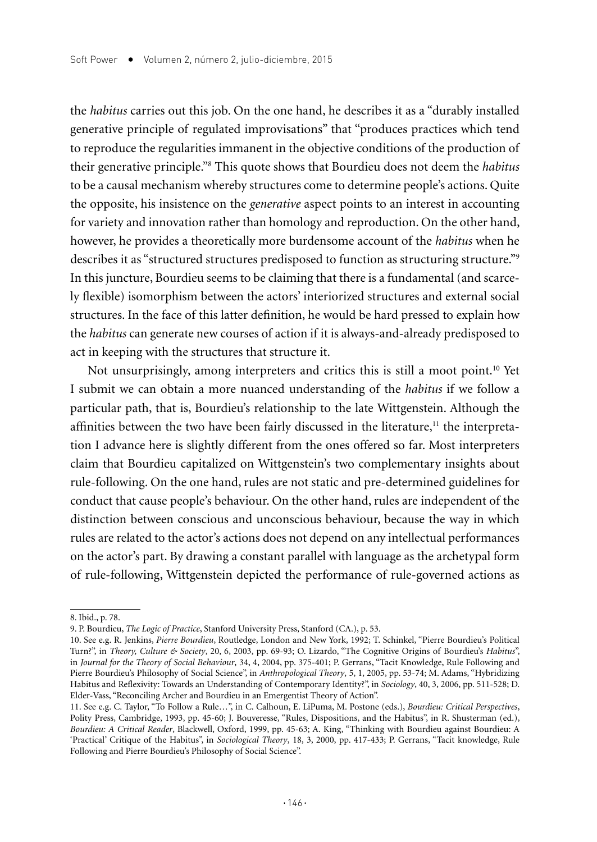the *habitus* carries out this job. On the one hand, he describes it as a "durably installed generative principle of regulated improvisations" that "produces practices which tend to reproduce the regularities immanent in the objective conditions of the production of their generative principle."8 This quote shows that Bourdieu does not deem the *habitus* to be a causal mechanism whereby structures come to determine people's actions. Quite the opposite, his insistence on the *generative* aspect points to an interest in accounting for variety and innovation rather than homology and reproduction. On the other hand, however, he provides a theoretically more burdensome account of the *habitus* when he describes it as "structured structures predisposed to function as structuring structure."<sup>9</sup> In this juncture, Bourdieu seems to be claiming that there is a fundamental (and scarcely flexible) isomorphism between the actors' interiorized structures and external social structures. In the face of this latter definition, he would be hard pressed to explain how the *habitus* can generate new courses of action if it is always-and-already predisposed to act in keeping with the structures that structure it.

Not unsurprisingly, among interpreters and critics this is still a moot point.10 Yet I submit we can obtain a more nuanced understanding of the *habitus* if we follow a particular path, that is, Bourdieu's relationship to the late Wittgenstein. Although the affinities between the two have been fairly discussed in the literature, $11$  the interpretation I advance here is slightly different from the ones offered so far. Most interpreters claim that Bourdieu capitalized on Wittgenstein's two complementary insights about rule-following. On the one hand, rules are not static and pre-determined guidelines for conduct that cause people's behaviour. On the other hand, rules are independent of the distinction between conscious and unconscious behaviour, because the way in which rules are related to the actor's actions does not depend on any intellectual performances on the actor's part. By drawing a constant parallel with language as the archetypal form of rule-following, Wittgenstein depicted the performance of rule-governed actions as

<sup>8.</sup> Ibid., p. 78.

<sup>9.</sup> P. Bourdieu, *The Logic of Practice*, Stanford University Press, Stanford (CA.), p. 53.

<sup>10.</sup> See e.g. R. Jenkins, *Pierre Bourdieu*, Routledge, London and New York, 1992; T. Schinkel, "Pierre Bourdieu's Political Turn?", in *Theory, Culture & Society*, 20, 6, 2003, pp. 69-93; O. Lizardo, "The Cognitive Origins of Bourdieu's *Habitus*", in *Journal for the Theory of Social Behaviour*, 34, 4, 2004, pp. 375-401; P. Gerrans, "Tacit Knowledge, Rule Following and Pierre Bourdieu's Philosophy of Social Science", in *Anthropological Theory*, 5, 1, 2005, pp. 53-74; M. Adams, "Hybridizing Habitus and Reflexivity: Towards an Understanding of Contemporary Identity?", in *Sociology*, 40, 3, 2006, pp. 511-528; D. Elder-Vass, "Reconciling Archer and Bourdieu in an Emergentist Theory of Action".

<sup>11.</sup> See e.g. C. Taylor, "To Follow a Rule…", in C. Calhoun, E. LiPuma, M. Postone (eds.), *Bourdieu: Critical Perspectives*, Polity Press, Cambridge, 1993, pp. 45-60; J. Bouveresse, "Rules, Dispositions, and the Habitus", in R. Shusterman (ed.), *Bourdieu: A Critical Reader*, Blackwell, Oxford, 1999, pp. 45-63; A. King, "Thinking with Bourdieu against Bourdieu: A 'Practical' Critique of the Habitus", in *Sociological Theory*, 18, 3, 2000, pp. 417-433; P. Gerrans, "Tacit knowledge, Rule Following and Pierre Bourdieu's Philosophy of Social Science".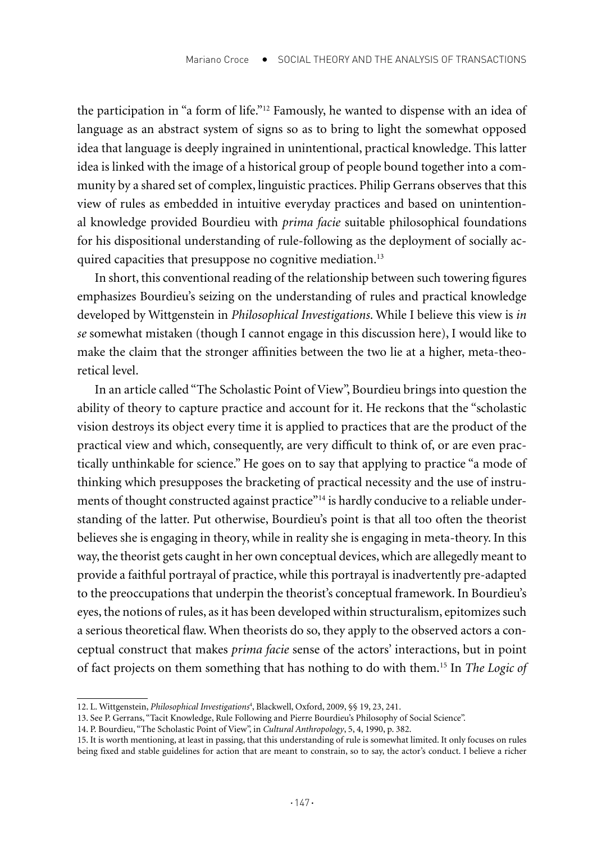the participation in "a form of life."12 Famously, he wanted to dispense with an idea of language as an abstract system of signs so as to bring to light the somewhat opposed idea that language is deeply ingrained in unintentional, practical knowledge. This latter idea is linked with the image of a historical group of people bound together into a community by a shared set of complex, linguistic practices. Philip Gerrans observes that this view of rules as embedded in intuitive everyday practices and based on unintentional knowledge provided Bourdieu with *prima facie* suitable philosophical foundations for his dispositional understanding of rule-following as the deployment of socially acquired capacities that presuppose no cognitive mediation.<sup>13</sup>

In short, this conventional reading of the relationship between such towering figures emphasizes Bourdieu's seizing on the understanding of rules and practical knowledge developed by Wittgenstein in *Philosophical Investigations*. While I believe this view is *in se* somewhat mistaken (though I cannot engage in this discussion here), I would like to make the claim that the stronger affinities between the two lie at a higher, meta-theoretical level.

In an article called "The Scholastic Point of View", Bourdieu brings into question the ability of theory to capture practice and account for it. He reckons that the "scholastic vision destroys its object every time it is applied to practices that are the product of the practical view and which, consequently, are very difficult to think of, or are even practically unthinkable for science." He goes on to say that applying to practice "a mode of thinking which presupposes the bracketing of practical necessity and the use of instruments of thought constructed against practice"<sup>14</sup> is hardly conducive to a reliable understanding of the latter. Put otherwise, Bourdieu's point is that all too often the theorist believes she is engaging in theory, while in reality she is engaging in meta-theory. In this way, the theorist gets caught in her own conceptual devices, which are allegedly meant to provide a faithful portrayal of practice, while this portrayal is inadvertently pre-adapted to the preoccupations that underpin the theorist's conceptual framework. In Bourdieu's eyes, the notions of rules, as it has been developed within structuralism, epitomizes such a serious theoretical flaw. When theorists do so, they apply to the observed actors a conceptual construct that makes *prima facie* sense of the actors' interactions, but in point of fact projects on them something that has nothing to do with them.15 In *The Logic of* 

<sup>12.</sup> L. Wittgenstein, Philosophical Investigations<sup>4</sup>, Blackwell, Oxford, 2009, §§ 19, 23, 241.

<sup>13.</sup> See P. Gerrans, "Tacit Knowledge, Rule Following and Pierre Bourdieu's Philosophy of Social Science".

<sup>14.</sup> P. Bourdieu, "The Scholastic Point of View", in *Cultural Anthropology*, 5, 4, 1990, p. 382.

<sup>15.</sup> It is worth mentioning, at least in passing, that this understanding of rule is somewhat limited. It only focuses on rules being fixed and stable guidelines for action that are meant to constrain, so to say, the actor's conduct. I believe a richer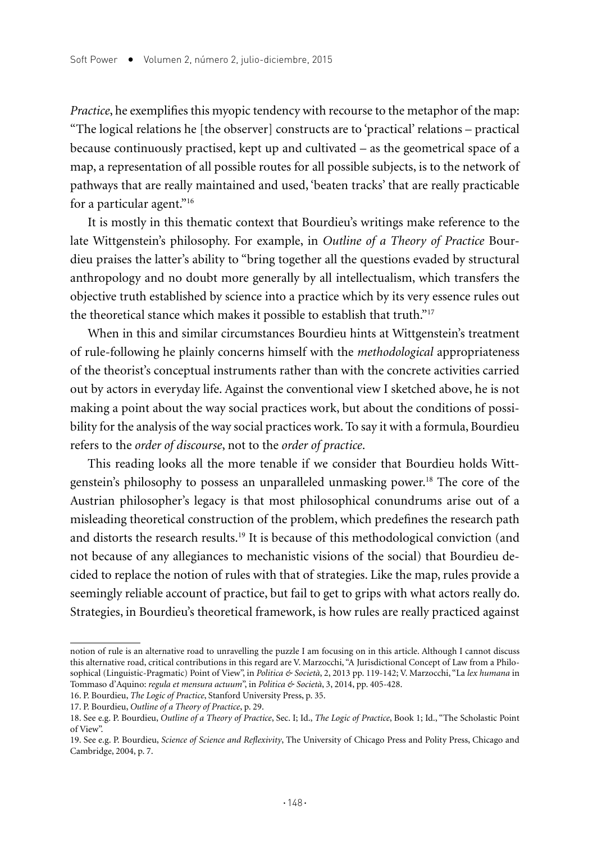*Practice*, he exemplifies this myopic tendency with recourse to the metaphor of the map: "The logical relations he [the observer] constructs are to 'practical' relations – practical because continuously practised, kept up and cultivated – as the geometrical space of a map, a representation of all possible routes for all possible subjects, is to the network of pathways that are really maintained and used, 'beaten tracks' that are really practicable for a particular agent."16

It is mostly in this thematic context that Bourdieu's writings make reference to the late Wittgenstein's philosophy. For example, in *Outline of a Theory of Practice* Bourdieu praises the latter's ability to "bring together all the questions evaded by structural anthropology and no doubt more generally by all intellectualism, which transfers the objective truth established by science into a practice which by its very essence rules out the theoretical stance which makes it possible to establish that truth."17

When in this and similar circumstances Bourdieu hints at Wittgenstein's treatment of rule-following he plainly concerns himself with the *methodological* appropriateness of the theorist's conceptual instruments rather than with the concrete activities carried out by actors in everyday life. Against the conventional view I sketched above, he is not making a point about the way social practices work, but about the conditions of possibility for the analysis of the way social practices work. To say it with a formula, Bourdieu refers to the *order of discourse*, not to the *order of practice*.

This reading looks all the more tenable if we consider that Bourdieu holds Wittgenstein's philosophy to possess an unparalleled unmasking power.18 The core of the Austrian philosopher's legacy is that most philosophical conundrums arise out of a misleading theoretical construction of the problem, which predefines the research path and distorts the research results.<sup>19</sup> It is because of this methodological conviction (and not because of any allegiances to mechanistic visions of the social) that Bourdieu decided to replace the notion of rules with that of strategies. Like the map, rules provide a seemingly reliable account of practice, but fail to get to grips with what actors really do. Strategies, in Bourdieu's theoretical framework, is how rules are really practiced against

notion of rule is an alternative road to unravelling the puzzle I am focusing on in this article. Although I cannot discuss this alternative road, critical contributions in this regard are V. Marzocchi, "A Jurisdictional Concept of Law from a Philosophical (Linguistic-Pragmatic) Point of View", in *Politica & Società*, 2, 2013 pp. 119-142; V. Marzocchi, "La *lex humana* in Tommaso d'Aquino: *regula et mensura actuum*", in *Politica & Società*, 3, 2014, pp. 405-428.

<sup>16.</sup> P. Bourdieu, *The Logic of Practice*, Stanford University Press, p. 35.

<sup>17.</sup> P. Bourdieu, *Outline of a Theory of Practice*, p. 29.

<sup>18.</sup> See e.g. P. Bourdieu, *Outline of a Theory of Practice*, Sec. I; Id., *The Logic of Practice*, Book 1; Id., "The Scholastic Point of View".

<sup>19.</sup> See e.g. P. Bourdieu, *Science of Science and Reflexivity*, The University of Chicago Press and Polity Press, Chicago and Cambridge, 2004, p. 7.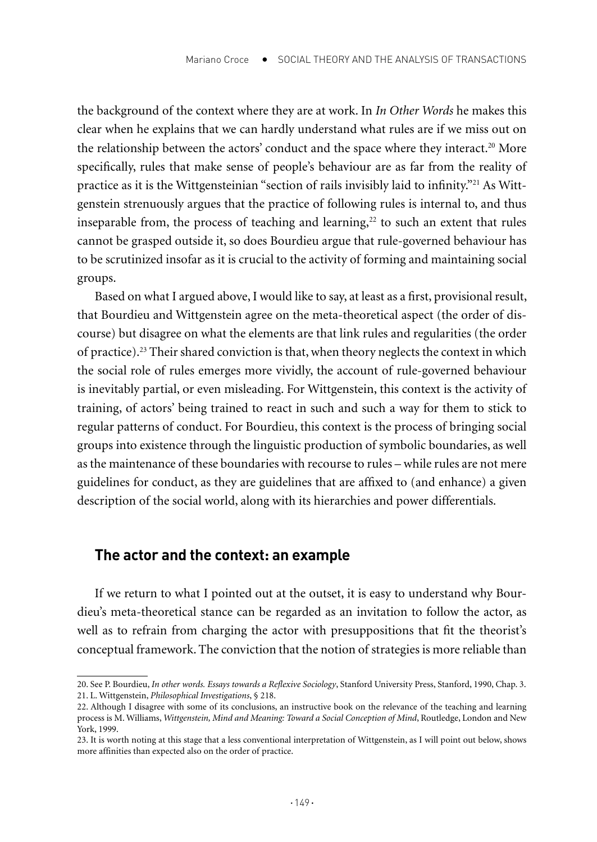the background of the context where they are at work. In *In Other Words* he makes this clear when he explains that we can hardly understand what rules are if we miss out on the relationship between the actors' conduct and the space where they interact.<sup>20</sup> More specifically, rules that make sense of people's behaviour are as far from the reality of practice as it is the Wittgensteinian "section of rails invisibly laid to infinity."<sup>21</sup> As Wittgenstein strenuously argues that the practice of following rules is internal to, and thus inseparable from, the process of teaching and learning,<sup>22</sup> to such an extent that rules cannot be grasped outside it, so does Bourdieu argue that rule-governed behaviour has to be scrutinized insofar as it is crucial to the activity of forming and maintaining social groups.

Based on what I argued above, I would like to say, at least as a first, provisional result, that Bourdieu and Wittgenstein agree on the meta-theoretical aspect (the order of discourse) but disagree on what the elements are that link rules and regularities (the order of practice).23 Their shared conviction is that, when theory neglects the context in which the social role of rules emerges more vividly, the account of rule-governed behaviour is inevitably partial, or even misleading. For Wittgenstein, this context is the activity of training, of actors' being trained to react in such and such a way for them to stick to regular patterns of conduct. For Bourdieu, this context is the process of bringing social groups into existence through the linguistic production of symbolic boundaries, as well as the maintenance of these boundaries with recourse to rules – while rules are not mere guidelines for conduct, as they are guidelines that are affixed to (and enhance) a given description of the social world, along with its hierarchies and power differentials.

## **The actor and the context: an example**

If we return to what I pointed out at the outset, it is easy to understand why Bourdieu's meta-theoretical stance can be regarded as an invitation to follow the actor, as well as to refrain from charging the actor with presuppositions that fit the theorist's conceptual framework. The conviction that the notion of strategies is more reliable than

<sup>20.</sup> See P. Bourdieu, *In other words. Essays towards a Reflexive Sociology*, Stanford University Press, Stanford, 1990, Chap. 3. 21. L. Wittgenstein, *Philosophical Investigations*, § 218.

<sup>22.</sup> Although I disagree with some of its conclusions, an instructive book on the relevance of the teaching and learning process is M. Williams, *Wittgenstein, Mind and Meaning: Toward a Social Conception of Mind*, Routledge, London and New York, 1999.

<sup>23.</sup> It is worth noting at this stage that a less conventional interpretation of Wittgenstein, as I will point out below, shows more affinities than expected also on the order of practice.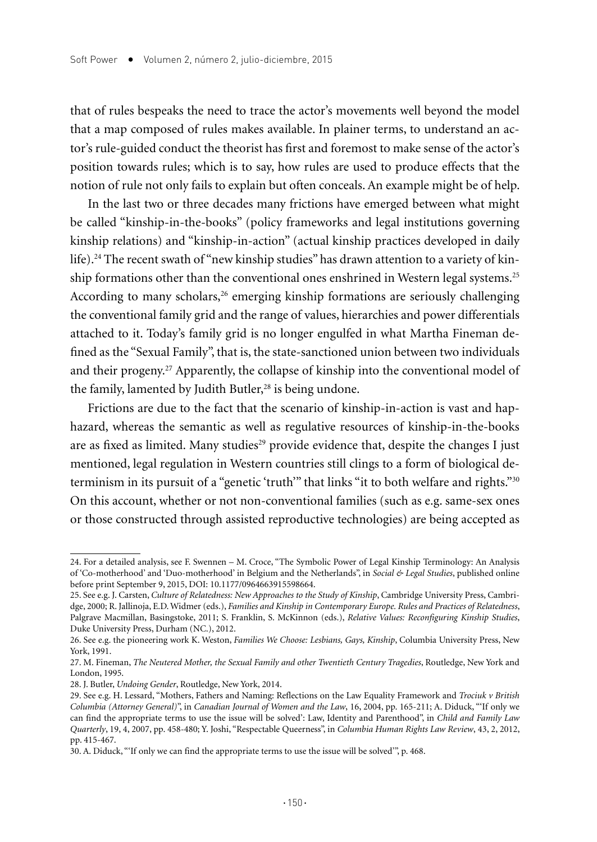that of rules bespeaks the need to trace the actor's movements well beyond the model that a map composed of rules makes available. In plainer terms, to understand an actor's rule-guided conduct the theorist has first and foremost to make sense of the actor's position towards rules; which is to say, how rules are used to produce effects that the notion of rule not only fails to explain but often conceals. An example might be of help.

In the last two or three decades many frictions have emerged between what might be called "kinship-in-the-books" (policy frameworks and legal institutions governing kinship relations) and "kinship-in-action" (actual kinship practices developed in daily life).<sup>24</sup> The recent swath of "new kinship studies" has drawn attention to a variety of kinship formations other than the conventional ones enshrined in Western legal systems.<sup>25</sup> According to many scholars, $26$  emerging kinship formations are seriously challenging the conventional family grid and the range of values, hierarchies and power differentials attached to it. Today's family grid is no longer engulfed in what Martha Fineman defined as the "Sexual Family", that is, the state-sanctioned union between two individuals and their progeny.27 Apparently, the collapse of kinship into the conventional model of the family, lamented by Judith Butler,<sup>28</sup> is being undone.

Frictions are due to the fact that the scenario of kinship-in-action is vast and haphazard, whereas the semantic as well as regulative resources of kinship-in-the-books are as fixed as limited. Many studies<sup>29</sup> provide evidence that, despite the changes I just mentioned, legal regulation in Western countries still clings to a form of biological determinism in its pursuit of a "genetic 'truth'" that links "it to both welfare and rights."<sup>30</sup> On this account, whether or not non-conventional families (such as e.g. same-sex ones or those constructed through assisted reproductive technologies) are being accepted as

<sup>24.</sup> For a detailed analysis, see F. Swennen – M. Croce, "The Symbolic Power of Legal Kinship Terminology: An Analysis of 'Co-motherhood' and 'Duo-motherhood' in Belgium and the Netherlands", in *Social & Legal Studies*, published online before print September 9, 2015, DOI: 10.1177/0964663915598664.

<sup>25.</sup> See e.g. J. Carsten, *Culture of Relatedness: New Approaches to the Study of Kinship*, Cambridge University Press, Cambridge, 2000; R. Jallinoja, E.D. Widmer (eds.), *Families and Kinship in Contemporary Europe. Rules and Practices of Relatedness*, Palgrave Macmillan, Basingstoke, 2011; S. Franklin, S. McKinnon (eds.), *Relative Values: Reconfiguring Kinship Studies*, Duke University Press, Durham (NC.), 2012.

<sup>26.</sup> See e.g. the pioneering work K. Weston, *Families We Choose: Lesbians, Gays, Kinship*, Columbia University Press, New York, 1991.

<sup>27.</sup> M. Fineman, *The Neutered Mother, the Sexual Family and other Twentieth Century Tragedies*, Routledge, New York and London, 1995.

<sup>28.</sup> J. Butler, *Undoing Gender*, Routledge, New York, 2014.

<sup>29.</sup> See e.g. H. Lessard, "Mothers, Fathers and Naming: Reflections on the Law Equality Framework and *Trociuk v British Columbia (Attorney General)*", in *Canadian Journal of Women and the Law*, 16, 2004, pp. 165-211; A. Diduck, "'If only we can find the appropriate terms to use the issue will be solved': Law, Identity and Parenthood", in *Child and Family Law Quarterly*, 19, 4, 2007, pp. 458-480; Y. Joshi, "Respectable Queerness", in *Columbia Human Rights Law Review*, 43, 2, 2012, pp. 415-467.

<sup>30.</sup> A. Diduck, "'If only we can find the appropriate terms to use the issue will be solved'", p. 468.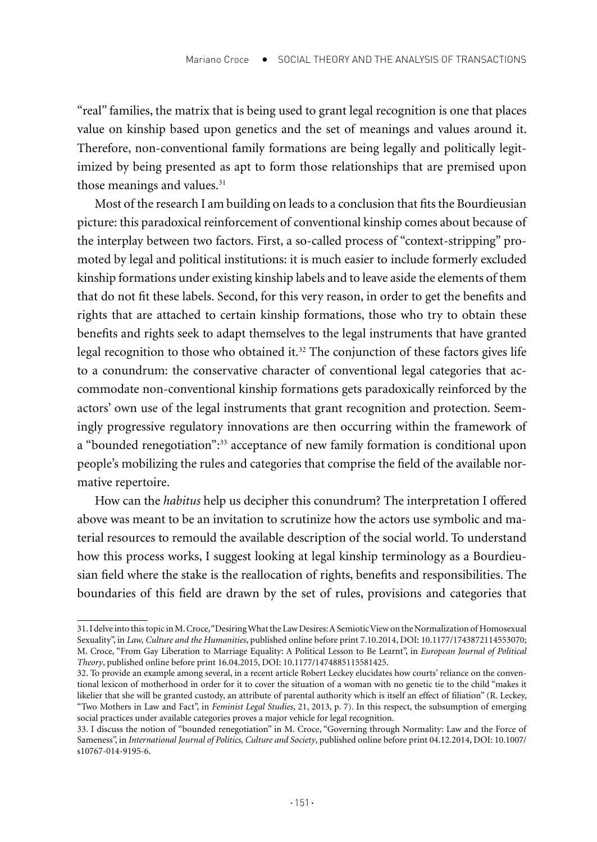"real" families, the matrix that is being used to grant legal recognition is one that places value on kinship based upon genetics and the set of meanings and values around it. Therefore, non-conventional family formations are being legally and politically legitimized by being presented as apt to form those relationships that are premised upon those meanings and values.<sup>31</sup>

Most of the research I am building on leads to a conclusion that fits the Bourdieusian picture: this paradoxical reinforcement of conventional kinship comes about because of the interplay between two factors. First, a so-called process of "context-stripping" promoted by legal and political institutions: it is much easier to include formerly excluded kinship formations under existing kinship labels and to leave aside the elements of them that do not fit these labels. Second, for this very reason, in order to get the benefits and rights that are attached to certain kinship formations, those who try to obtain these benefits and rights seek to adapt themselves to the legal instruments that have granted legal recognition to those who obtained it.32 The conjunction of these factors gives life to a conundrum: the conservative character of conventional legal categories that accommodate non-conventional kinship formations gets paradoxically reinforced by the actors' own use of the legal instruments that grant recognition and protection. Seemingly progressive regulatory innovations are then occurring within the framework of a "bounded renegotiation":33 acceptance of new family formation is conditional upon people's mobilizing the rules and categories that comprise the field of the available normative repertoire.

How can the *habitus* help us decipher this conundrum? The interpretation I offered above was meant to be an invitation to scrutinize how the actors use symbolic and material resources to remould the available description of the social world. To understand how this process works, I suggest looking at legal kinship terminology as a Bourdieusian field where the stake is the reallocation of rights, benefits and responsibilities. The boundaries of this field are drawn by the set of rules, provisions and categories that

<sup>31.</sup> I delve into this topic in M. Croce, "Desiring What the Law Desires: A Semiotic View on the Normalization of Homosexual Sexuality", in *Law, Culture and the Humanities*, published online before print 7.10.2014, DOI: 10.1177/1743872114553070; M. Croce, "From Gay Liberation to Marriage Equality: A Political Lesson to Be Learnt", in *European Journal of Political Theory*, published online before print 16.04.2015, DOI: 10.1177/1474885115581425.

<sup>32.</sup> To provide an example among several, in a recent article Robert Leckey elucidates how courts' reliance on the conventional lexicon of motherhood in order for it to cover the situation of a woman with no genetic tie to the child "makes it likelier that she will be granted custody, an attribute of parental authority which is itself an effect of filiation" (R. Leckey, "Two Mothers in Law and Fact", in *Feminist Legal Studies*, 21, 2013, p. 7). In this respect, the subsumption of emerging social practices under available categories proves a major vehicle for legal recognition.

<sup>33.</sup> I discuss the notion of "bounded renegotiation" in M. Croce, "Governing through Normality: Law and the Force of Sameness", in *International Journal of Politics, Culture and Society*, published online before print 04.12.2014, DOI: 10.1007/ s10767-014-9195-6.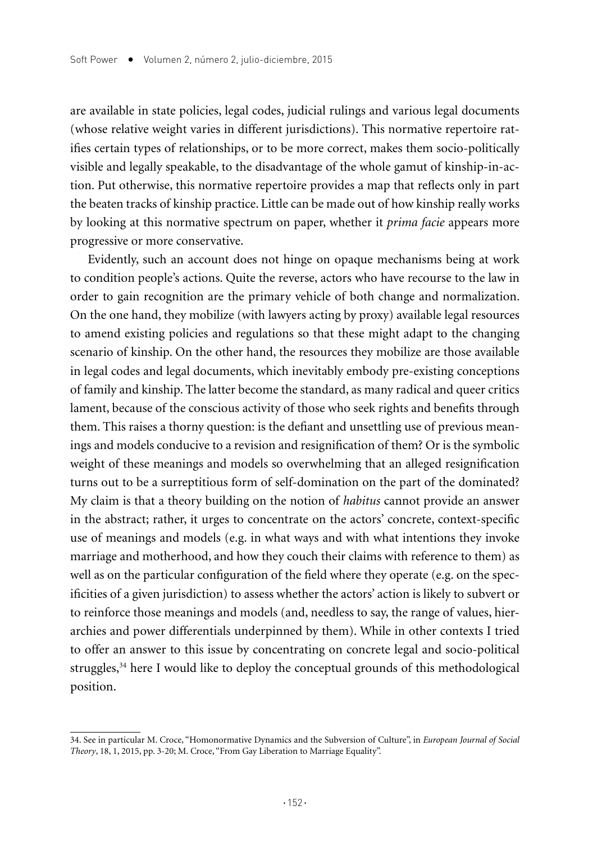are available in state policies, legal codes, judicial rulings and various legal documents (whose relative weight varies in different jurisdictions). This normative repertoire ratifies certain types of relationships, or to be more correct, makes them socio-politically visible and legally speakable, to the disadvantage of the whole gamut of kinship-in-action. Put otherwise, this normative repertoire provides a map that reflects only in part the beaten tracks of kinship practice. Little can be made out of how kinship really works by looking at this normative spectrum on paper, whether it *prima facie* appears more progressive or more conservative.

Evidently, such an account does not hinge on opaque mechanisms being at work to condition people's actions. Quite the reverse, actors who have recourse to the law in order to gain recognition are the primary vehicle of both change and normalization. On the one hand, they mobilize (with lawyers acting by proxy) available legal resources to amend existing policies and regulations so that these might adapt to the changing scenario of kinship. On the other hand, the resources they mobilize are those available in legal codes and legal documents, which inevitably embody pre-existing conceptions of family and kinship. The latter become the standard, as many radical and queer critics lament, because of the conscious activity of those who seek rights and benefits through them. This raises a thorny question: is the defiant and unsettling use of previous meanings and models conducive to a revision and resignification of them? Or is the symbolic weight of these meanings and models so overwhelming that an alleged resignification turns out to be a surreptitious form of self-domination on the part of the dominated? My claim is that a theory building on the notion of *habitus* cannot provide an answer in the abstract; rather, it urges to concentrate on the actors' concrete, context-specific use of meanings and models (e.g. in what ways and with what intentions they invoke marriage and motherhood, and how they couch their claims with reference to them) as well as on the particular configuration of the field where they operate (e.g. on the specificities of a given jurisdiction) to assess whether the actors' action is likely to subvert or to reinforce those meanings and models (and, needless to say, the range of values, hierarchies and power differentials underpinned by them). While in other contexts I tried to offer an answer to this issue by concentrating on concrete legal and socio-political struggles,<sup>34</sup> here I would like to deploy the conceptual grounds of this methodological position.

<sup>34.</sup> See in particular M. Croce, "Homonormative Dynamics and the Subversion of Culture", in *European Journal of Social Theory*, 18, 1, 2015, pp. 3-20; M. Croce, "From Gay Liberation to Marriage Equality".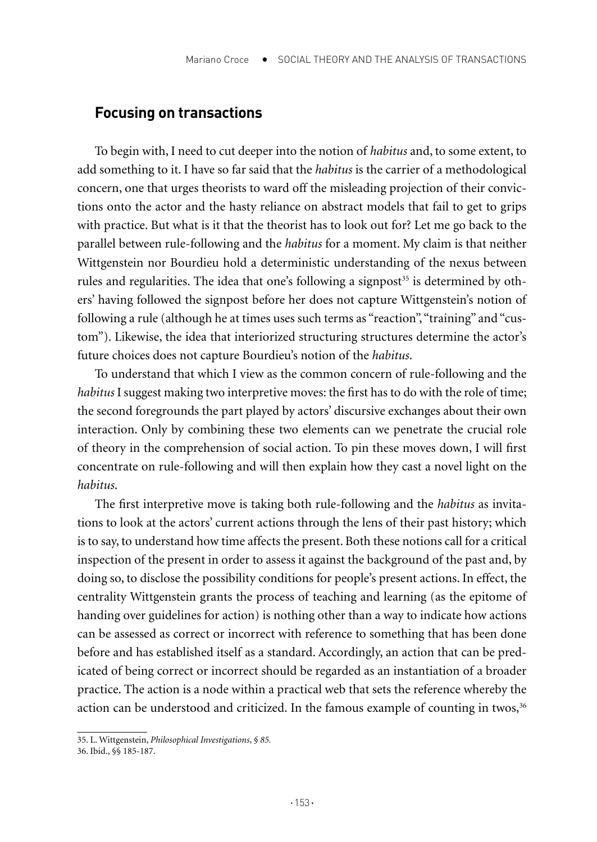#### **Focusing on transactions**

To begin with, I need to cut deeper into the notion of *habitus* and, to some extent, to add something to it. I have so far said that the *habitus* is the carrier of a methodological concern, one that urges theorists to ward off the misleading projection of their convictions onto the actor and the hasty reliance on abstract models that fail to get to grips with practice. But what is it that the theorist has to look out for? Let me go back to the parallel between rule-following and the *habitus* for a moment. My claim is that neither Wittgenstein nor Bourdieu hold a deterministic understanding of the nexus between rules and regularities. The idea that one's following a signpost<sup>35</sup> is determined by others' having followed the signpost before her does not capture Wittgenstein's notion of following a rule (although he at times uses such terms as "reaction", "training" and "custom"). Likewise, the idea that interiorized structuring structures determine the actor's future choices does not capture Bourdieu's notion of the *habitus*.

To understand that which I view as the common concern of rule-following and the *habitus* I suggest making two interpretive moves: the first has to do with the role of time; the second foregrounds the part played by actors' discursive exchanges about their own interaction. Only by combining these two elements can we penetrate the crucial role of theory in the comprehension of social action. To pin these moves down, I will first concentrate on rule-following and will then explain how they cast a novel light on the *habitus*.

The first interpretive move is taking both rule-following and the *habitus* as invitations to look at the actors' current actions through the lens of their past history; which is to say, to understand how time affects the present. Both these notions call for a critical inspection of the present in order to assess it against the background of the past and, by doing so, to disclose the possibility conditions for people's present actions. In effect, the centrality Wittgenstein grants the process of teaching and learning (as the epitome of handing over guidelines for action) is nothing other than a way to indicate how actions can be assessed as correct or incorrect with reference to something that has been done before and has established itself as a standard. Accordingly, an action that can be predicated of being correct or incorrect should be regarded as an instantiation of a broader practice. The action is a node within a practical web that sets the reference whereby the action can be understood and criticized. In the famous example of counting in twos,<sup>36</sup>

<sup>35.</sup> L. Wittgenstein, *Philosophical Investigations*, *§ 85.*

<sup>36.</sup> Ibid., §§ 185-187.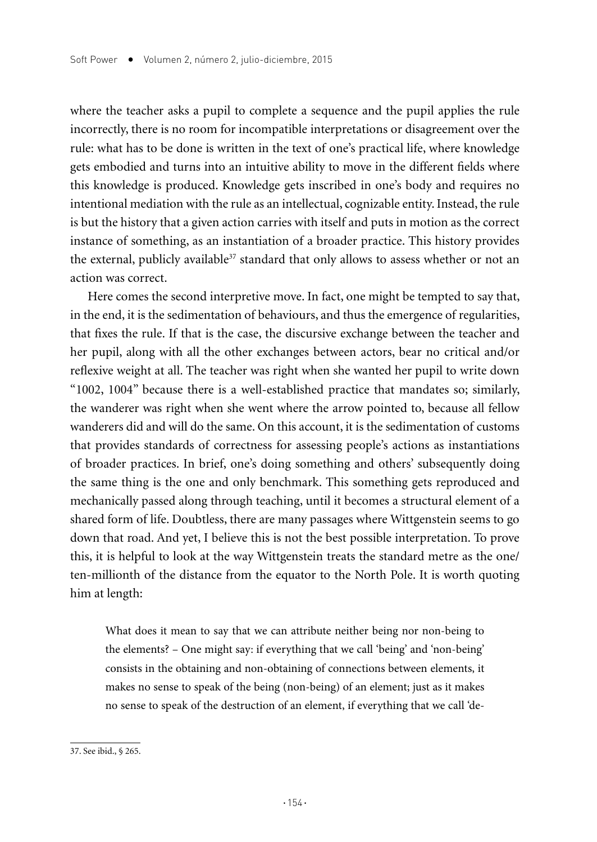where the teacher asks a pupil to complete a sequence and the pupil applies the rule incorrectly, there is no room for incompatible interpretations or disagreement over the rule: what has to be done is written in the text of one's practical life, where knowledge gets embodied and turns into an intuitive ability to move in the different fields where this knowledge is produced. Knowledge gets inscribed in one's body and requires no intentional mediation with the rule as an intellectual, cognizable entity. Instead, the rule is but the history that a given action carries with itself and puts in motion as the correct instance of something, as an instantiation of a broader practice. This history provides the external, publicly available<sup>37</sup> standard that only allows to assess whether or not an action was correct.

Here comes the second interpretive move. In fact, one might be tempted to say that, in the end, it is the sedimentation of behaviours, and thus the emergence of regularities, that fixes the rule. If that is the case, the discursive exchange between the teacher and her pupil, along with all the other exchanges between actors, bear no critical and/or reflexive weight at all. The teacher was right when she wanted her pupil to write down "1002, 1004" because there is a well-established practice that mandates so; similarly, the wanderer was right when she went where the arrow pointed to, because all fellow wanderers did and will do the same. On this account, it is the sedimentation of customs that provides standards of correctness for assessing people's actions as instantiations of broader practices. In brief, one's doing something and others' subsequently doing the same thing is the one and only benchmark. This something gets reproduced and mechanically passed along through teaching, until it becomes a structural element of a shared form of life. Doubtless, there are many passages where Wittgenstein seems to go down that road. And yet, I believe this is not the best possible interpretation. To prove this, it is helpful to look at the way Wittgenstein treats the standard metre as the one/ ten-millionth of the distance from the equator to the North Pole. It is worth quoting him at length:

What does it mean to say that we can attribute neither being nor non-being to the elements? – One might say: if everything that we call 'being' and 'non-being' consists in the obtaining and non-obtaining of connections between elements, it makes no sense to speak of the being (non-being) of an element; just as it makes no sense to speak of the destruction of an element, if everything that we call 'de-

<sup>37.</sup> See ibid., § 265.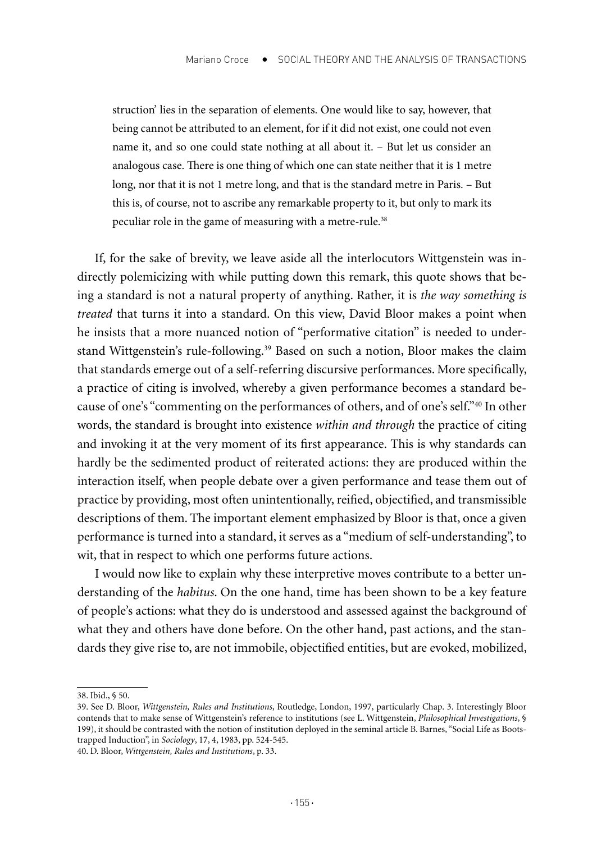struction' lies in the separation of elements. One would like to say, however, that being cannot be attributed to an element, for if it did not exist, one could not even name it, and so one could state nothing at all about it. – But let us consider an analogous case. There is one thing of which one can state neither that it is 1 metre long, nor that it is not 1 metre long, and that is the standard metre in Paris. – But this is, of course, not to ascribe any remarkable property to it, but only to mark its peculiar role in the game of measuring with a metre-rule.<sup>38</sup>

If, for the sake of brevity, we leave aside all the interlocutors Wittgenstein was indirectly polemicizing with while putting down this remark, this quote shows that being a standard is not a natural property of anything. Rather, it is *the way something is treated* that turns it into a standard. On this view, David Bloor makes a point when he insists that a more nuanced notion of "performative citation" is needed to understand Wittgenstein's rule-following.<sup>39</sup> Based on such a notion, Bloor makes the claim that standards emerge out of a self-referring discursive performances. More specifically, a practice of citing is involved, whereby a given performance becomes a standard because of one's "commenting on the performances of others, and of one's self."40 In other words, the standard is brought into existence *within and through* the practice of citing and invoking it at the very moment of its first appearance. This is why standards can hardly be the sedimented product of reiterated actions: they are produced within the interaction itself, when people debate over a given performance and tease them out of practice by providing, most often unintentionally, reified, objectified, and transmissible descriptions of them. The important element emphasized by Bloor is that, once a given performance is turned into a standard, it serves as a "medium of self-understanding", to wit, that in respect to which one performs future actions.

I would now like to explain why these interpretive moves contribute to a better understanding of the *habitus*. On the one hand, time has been shown to be a key feature of people's actions: what they do is understood and assessed against the background of what they and others have done before. On the other hand, past actions, and the standards they give rise to, are not immobile, objectified entities, but are evoked, mobilized,

<sup>38.</sup> Ibid., § 50.

<sup>39.</sup> See D. Bloor, *Wittgenstein, Rules and Institutions*, Routledge, London, 1997, particularly Chap. 3. Interestingly Bloor contends that to make sense of Wittgenstein's reference to institutions (see L. Wittgenstein, *Philosophical Investigations*, § 199), it should be contrasted with the notion of institution deployed in the seminal article B. Barnes, "Social Life as Bootstrapped Induction", in *Sociology*, 17, 4, 1983, pp. 524-545.

<sup>40.</sup> D. Bloor, *Wittgenstein, Rules and Institutions*, p. 33.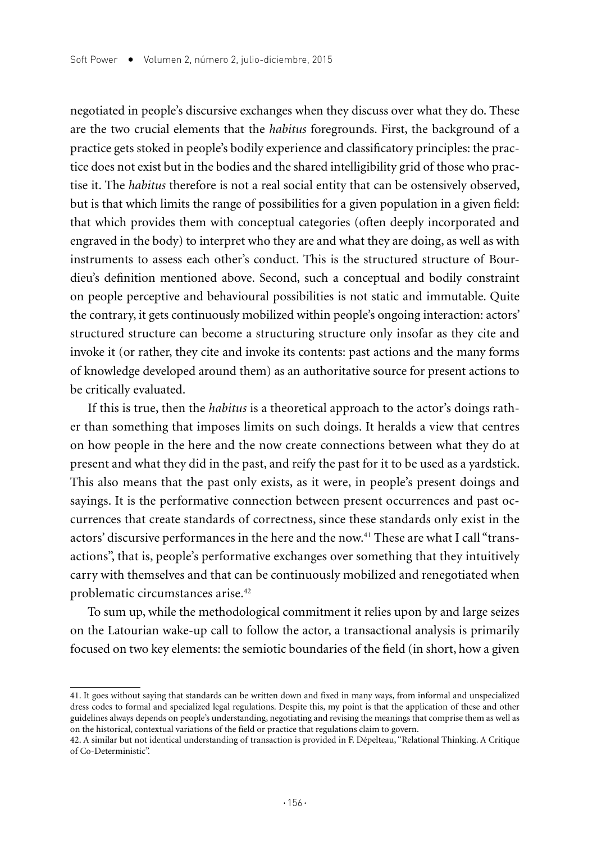negotiated in people's discursive exchanges when they discuss over what they do. These are the two crucial elements that the *habitus* foregrounds. First, the background of a practice gets stoked in people's bodily experience and classificatory principles: the practice does not exist but in the bodies and the shared intelligibility grid of those who practise it. The *habitus* therefore is not a real social entity that can be ostensively observed, but is that which limits the range of possibilities for a given population in a given field: that which provides them with conceptual categories (often deeply incorporated and engraved in the body) to interpret who they are and what they are doing, as well as with instruments to assess each other's conduct. This is the structured structure of Bourdieu's definition mentioned above. Second, such a conceptual and bodily constraint on people perceptive and behavioural possibilities is not static and immutable. Quite the contrary, it gets continuously mobilized within people's ongoing interaction: actors' structured structure can become a structuring structure only insofar as they cite and invoke it (or rather, they cite and invoke its contents: past actions and the many forms of knowledge developed around them) as an authoritative source for present actions to be critically evaluated.

If this is true, then the *habitus* is a theoretical approach to the actor's doings rather than something that imposes limits on such doings. It heralds a view that centres on how people in the here and the now create connections between what they do at present and what they did in the past, and reify the past for it to be used as a yardstick. This also means that the past only exists, as it were, in people's present doings and sayings. It is the performative connection between present occurrences and past occurrences that create standards of correctness, since these standards only exist in the actors' discursive performances in the here and the now.<sup>41</sup> These are what I call "transactions", that is, people's performative exchanges over something that they intuitively carry with themselves and that can be continuously mobilized and renegotiated when problematic circumstances arise.42

To sum up, while the methodological commitment it relies upon by and large seizes on the Latourian wake-up call to follow the actor, a transactional analysis is primarily focused on two key elements: the semiotic boundaries of the field (in short, how a given

<sup>41.</sup> It goes without saying that standards can be written down and fixed in many ways, from informal and unspecialized dress codes to formal and specialized legal regulations. Despite this, my point is that the application of these and other guidelines always depends on people's understanding, negotiating and revising the meanings that comprise them as well as on the historical, contextual variations of the field or practice that regulations claim to govern.

<sup>42.</sup> A similar but not identical understanding of transaction is provided in F. Dépelteau, "Relational Thinking. A Critique of Co-Deterministic".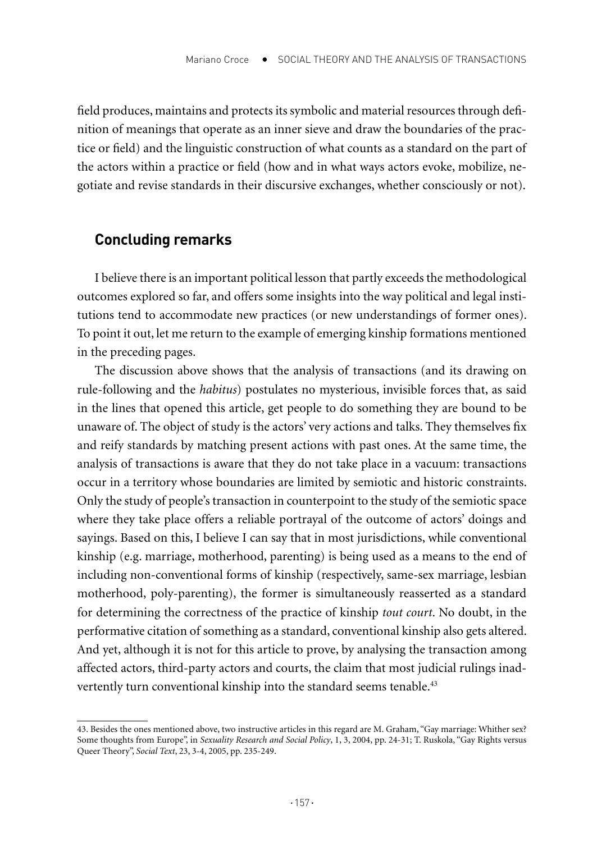field produces, maintains and protects its symbolic and material resources through definition of meanings that operate as an inner sieve and draw the boundaries of the practice or field) and the linguistic construction of what counts as a standard on the part of the actors within a practice or field (how and in what ways actors evoke, mobilize, negotiate and revise standards in their discursive exchanges, whether consciously or not).

## **Concluding remarks**

I believe there is an important political lesson that partly exceeds the methodological outcomes explored so far, and offers some insights into the way political and legal institutions tend to accommodate new practices (or new understandings of former ones). To point it out, let me return to the example of emerging kinship formations mentioned in the preceding pages.

The discussion above shows that the analysis of transactions (and its drawing on rule-following and the *habitus*) postulates no mysterious, invisible forces that, as said in the lines that opened this article, get people to do something they are bound to be unaware of. The object of study is the actors' very actions and talks. They themselves fix and reify standards by matching present actions with past ones. At the same time, the analysis of transactions is aware that they do not take place in a vacuum: transactions occur in a territory whose boundaries are limited by semiotic and historic constraints. Only the study of people's transaction in counterpoint to the study of the semiotic space where they take place offers a reliable portrayal of the outcome of actors' doings and sayings. Based on this, I believe I can say that in most jurisdictions, while conventional kinship (e.g. marriage, motherhood, parenting) is being used as a means to the end of including non-conventional forms of kinship (respectively, same-sex marriage, lesbian motherhood, poly-parenting), the former is simultaneously reasserted as a standard for determining the correctness of the practice of kinship *tout court*. No doubt, in the performative citation of something as a standard, conventional kinship also gets altered. And yet, although it is not for this article to prove, by analysing the transaction among affected actors, third-party actors and courts, the claim that most judicial rulings inadvertently turn conventional kinship into the standard seems tenable.<sup>43</sup>

<sup>43.</sup> Besides the ones mentioned above, two instructive articles in this regard are M. Graham, "Gay marriage: Whither sex? Some thoughts from Europe", in *Sexuality Research and Social Policy*, 1, 3, 2004, pp. 24-31; T. Ruskola, "Gay Rights versus Queer Theory", *Social Text*, 23, 3-4, 2005, pp. 235-249.